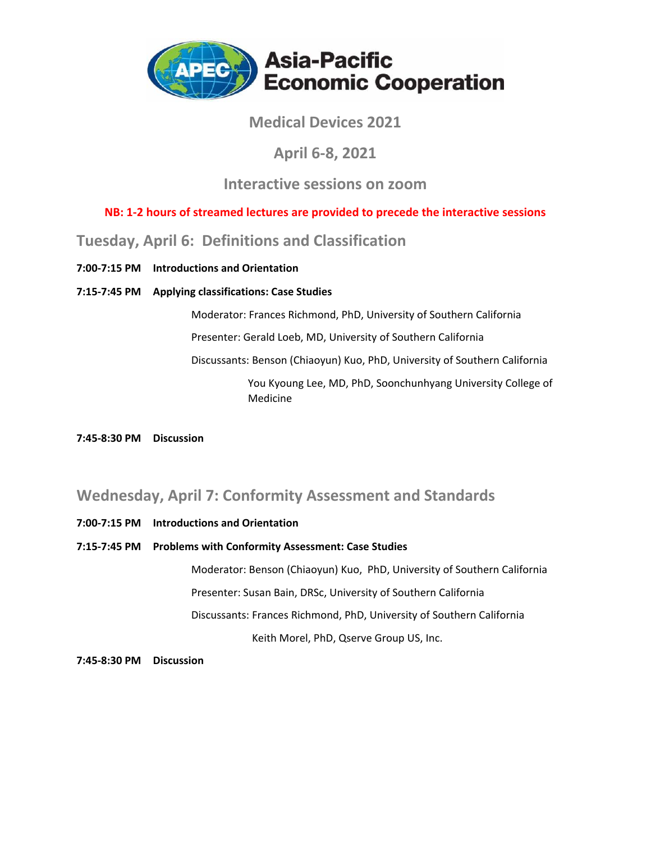

### **Medical Devices 2021**

### **April 6‐8, 2021**

### **Interactive sessions on zoom**

### **NB: 1‐2 hours of streamed lectures are provided to precede the interactive sessions**

### **Tuesday, April 6: Definitions and Classification**

**7:00‐7:15 PM Introductions and Orientation**

#### **7:15‐7:45 PM Applying classifications: Case Studies**

Moderator: Frances Richmond, PhD, University of Southern California Presenter: Gerald Loeb, MD, University of Southern California Discussants: Benson (Chiaoyun) Kuo, PhD, University of Southern California You Kyoung Lee, MD, PhD, Soonchunhyang University College of Medicine

**7:45‐8:30 PM Discussion**

### **Wednesday, April 7: Conformity Assessment and Standards**

**7:00‐7:15 PM Introductions and Orientation**

#### **7:15‐7:45 PM Problems with Conformity Assessment: Case Studies**

Moderator: Benson (Chiaoyun) Kuo, PhD, University of Southern California Presenter: Susan Bain, DRSc, University of Southern California Discussants: Frances Richmond, PhD, University of Southern California Keith Morel, PhD, Qserve Group US, Inc.

**7:45‐8:30 PM Discussion**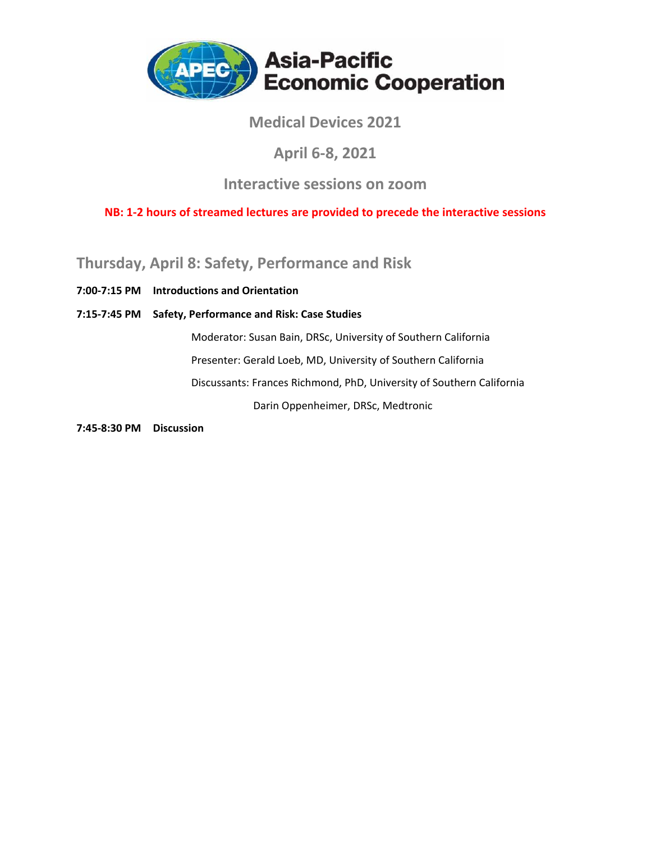

## **Medical Devices 2021**

### **April 6‐8, 2021**

### **Interactive sessions on zoom**

**NB: 1‐2 hours of streamed lectures are provided to precede the interactive sessions**

**Thursday, April 8: Safety, Performance and Risk**

**7:00‐7:15 PM Introductions and Orientation**

**7:15‐7:45 PM Safety, Performance and Risk: Case Studies**

Moderator: Susan Bain, DRSc, University of Southern California Presenter: Gerald Loeb, MD, University of Southern California Discussants: Frances Richmond, PhD, University of Southern California Darin Oppenheimer, DRSc, Medtronic

**7:45‐8:30 PM Discussion**